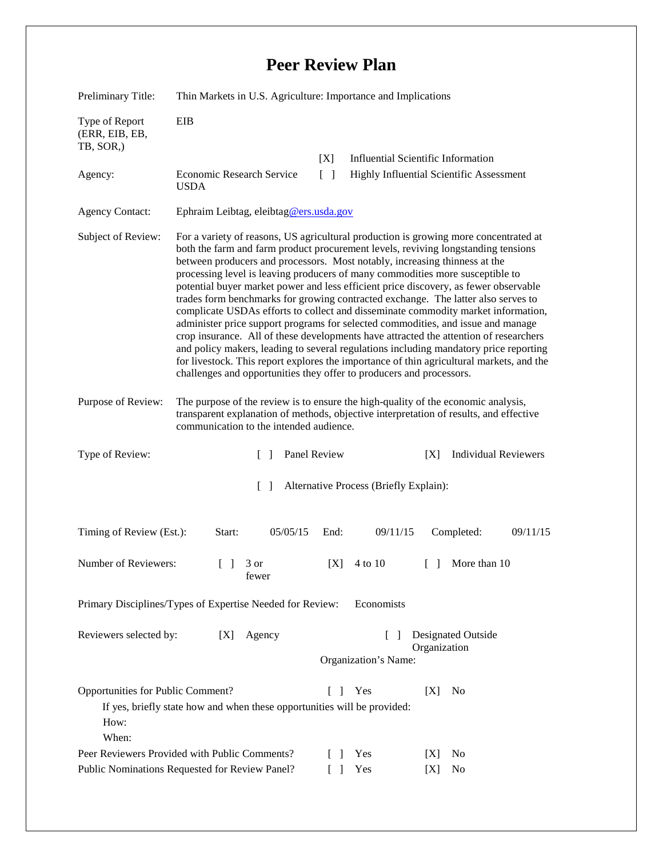## **Peer Review Plan**

| Preliminary Title:                                                                                                                                                      | Thin Markets in U.S. Agriculture: Importance and Implications                                                                                                                                                                                                                                                                                                                                                                                                                                                                                                                                                                                                                                                                                                                                                                                                                                                                                                                                                                                        |                                      |                                                                                       |                             |  |
|-------------------------------------------------------------------------------------------------------------------------------------------------------------------------|------------------------------------------------------------------------------------------------------------------------------------------------------------------------------------------------------------------------------------------------------------------------------------------------------------------------------------------------------------------------------------------------------------------------------------------------------------------------------------------------------------------------------------------------------------------------------------------------------------------------------------------------------------------------------------------------------------------------------------------------------------------------------------------------------------------------------------------------------------------------------------------------------------------------------------------------------------------------------------------------------------------------------------------------------|--------------------------------------|---------------------------------------------------------------------------------------|-----------------------------|--|
| Type of Report<br>(ERR, EIB, EB,<br>TB, SOR,)                                                                                                                           | EIB                                                                                                                                                                                                                                                                                                                                                                                                                                                                                                                                                                                                                                                                                                                                                                                                                                                                                                                                                                                                                                                  |                                      |                                                                                       |                             |  |
| Agency:                                                                                                                                                                 | Economic Research Service<br><b>USDA</b>                                                                                                                                                                                                                                                                                                                                                                                                                                                                                                                                                                                                                                                                                                                                                                                                                                                                                                                                                                                                             | [X]<br>$\Box$                        | <b>Influential Scientific Information</b><br>Highly Influential Scientific Assessment |                             |  |
| <b>Agency Contact:</b>                                                                                                                                                  | Ephraim Leibtag, eleibtag@ers.usda.gov                                                                                                                                                                                                                                                                                                                                                                                                                                                                                                                                                                                                                                                                                                                                                                                                                                                                                                                                                                                                               |                                      |                                                                                       |                             |  |
| Subject of Review:                                                                                                                                                      | For a variety of reasons, US agricultural production is growing more concentrated at<br>both the farm and farm product procurement levels, reviving longstanding tensions<br>between producers and processors. Most notably, increasing thinness at the<br>processing level is leaving producers of many commodities more susceptible to<br>potential buyer market power and less efficient price discovery, as fewer observable<br>trades form benchmarks for growing contracted exchange. The latter also serves to<br>complicate USDAs efforts to collect and disseminate commodity market information,<br>administer price support programs for selected commodities, and issue and manage<br>crop insurance. All of these developments have attracted the attention of researchers<br>and policy makers, leading to several regulations including mandatory price reporting<br>for livestock. This report explores the importance of thin agricultural markets, and the<br>challenges and opportunities they offer to producers and processors. |                                      |                                                                                       |                             |  |
| Purpose of Review:                                                                                                                                                      | The purpose of the review is to ensure the high-quality of the economic analysis,<br>transparent explanation of methods, objective interpretation of results, and effective<br>communication to the intended audience.                                                                                                                                                                                                                                                                                                                                                                                                                                                                                                                                                                                                                                                                                                                                                                                                                               |                                      |                                                                                       |                             |  |
| Type of Review:                                                                                                                                                         | $\Box$                                                                                                                                                                                                                                                                                                                                                                                                                                                                                                                                                                                                                                                                                                                                                                                                                                                                                                                                                                                                                                               | Panel Review                         | [X]                                                                                   | <b>Individual Reviewers</b> |  |
| $\lceil \rceil$<br>Alternative Process (Briefly Explain):                                                                                                               |                                                                                                                                                                                                                                                                                                                                                                                                                                                                                                                                                                                                                                                                                                                                                                                                                                                                                                                                                                                                                                                      |                                      |                                                                                       |                             |  |
| Timing of Review (Est.):                                                                                                                                                | 05/05/15<br>Start:                                                                                                                                                                                                                                                                                                                                                                                                                                                                                                                                                                                                                                                                                                                                                                                                                                                                                                                                                                                                                                   | End:                                 | 09/11/15                                                                              | Completed:<br>09/11/15      |  |
| Number of Reviewers:                                                                                                                                                    | $\begin{bmatrix} 1 & 3 \end{bmatrix}$<br>fewer                                                                                                                                                                                                                                                                                                                                                                                                                                                                                                                                                                                                                                                                                                                                                                                                                                                                                                                                                                                                       | [X]<br>4 to 10                       | $\Box$                                                                                | More than 10                |  |
| Primary Disciplines/Types of Expertise Needed for Review:<br>Economists                                                                                                 |                                                                                                                                                                                                                                                                                                                                                                                                                                                                                                                                                                                                                                                                                                                                                                                                                                                                                                                                                                                                                                                      |                                      |                                                                                       |                             |  |
| Reviewers selected by:<br>[X]<br>Agency<br>$\Box$<br>Organization<br>Organization's Name:                                                                               |                                                                                                                                                                                                                                                                                                                                                                                                                                                                                                                                                                                                                                                                                                                                                                                                                                                                                                                                                                                                                                                      |                                      | <b>Designated Outside</b>                                                             |                             |  |
| Opportunities for Public Comment?<br>Yes<br>[X]<br>No<br>L<br>$\mathbf{I}$<br>If yes, briefly state how and when these opportunities will be provided:<br>How:<br>When: |                                                                                                                                                                                                                                                                                                                                                                                                                                                                                                                                                                                                                                                                                                                                                                                                                                                                                                                                                                                                                                                      |                                      |                                                                                       |                             |  |
| Peer Reviewers Provided with Public Comments?<br>Public Nominations Requested for Review Panel?                                                                         |                                                                                                                                                                                                                                                                                                                                                                                                                                                                                                                                                                                                                                                                                                                                                                                                                                                                                                                                                                                                                                                      | Yes<br>$\Box$<br>Yes<br>$\mathsf{L}$ | [X]<br>[X]                                                                            | N <sub>0</sub><br>No        |  |